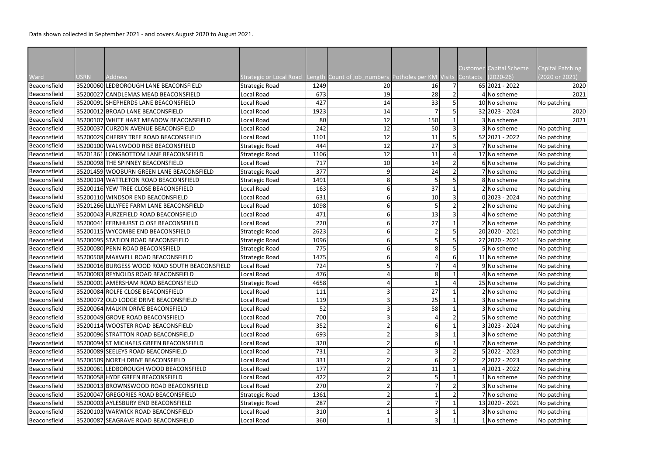Data shown collected in September 2021 - and covers August 2020 to August 2021.

| Ward         | <b>USRN</b> | <b>Address</b>                                                                 | Strategic or Local Road Length Count of job_numbers Potholes per KM Visits Contacts |      |    |                  |  | Customer Capital Scheme<br>$(2020-26)$ | <b>Capital Patching</b><br>(2020 or 2021) |
|--------------|-------------|--------------------------------------------------------------------------------|-------------------------------------------------------------------------------------|------|----|------------------|--|----------------------------------------|-------------------------------------------|
| Beaconsfield |             | 35200060 LEDBOROUGH LANE BEACONSFIELD                                          | <b>Strategic Road</b>                                                               | 1249 | 20 | 16               |  | 65 2021 - 2022                         | 2020                                      |
| Beaconsfield |             | 35200027 CANDLEMAS MEAD BEACONSFIELD                                           | Local Road                                                                          | 673  | 19 | 28               |  | No scheme                              | 2021                                      |
| Beaconsfield |             | 35200091 SHEPHERDS LANE BEACONSFIELD                                           | Local Road                                                                          | 427  | 14 | 33               |  | 10 No scheme                           | No patching                               |
| Beaconsfield |             | 35200012 BROAD LANE BEACONSFIELD                                               | Local Road                                                                          | 1923 | 14 |                  |  | 32 2023 - 2024                         | 2020                                      |
| Beaconsfield |             | 35200107 WHITE HART MEADOW BEACONSFIELD                                        | Local Road                                                                          | 80   | 12 | 150              |  | 3 No scheme                            | 2021                                      |
| Beaconsfield |             | 35200037 CURZON AVENUE BEACONSFIELD                                            | Local Road                                                                          | 242  | 12 | 50               |  | 3 No scheme                            | No patching                               |
| Beaconsfield |             | 35200029 CHERRY TREE ROAD BEACONSFIELD                                         | Local Road                                                                          | 1101 | 12 | 11               |  | 52 2021 - 2022                         | No patching                               |
| Beaconsfield |             | 35200100 WALKWOOD RISE BEACONSFIELD                                            | <b>Strategic Road</b>                                                               | 444  | 12 | 27               |  | 7 No scheme                            | No patching                               |
| Beaconsfield |             | 35201361 LONGBOTTOM LANE BEACONSFIELD                                          | <b>Strategic Road</b>                                                               | 1106 | 12 | 11               |  | 17 No scheme                           | No patching                               |
| Beaconsfield |             | 35200098 THE SPINNEY BEACONSFIELD                                              | Local Road                                                                          | 717  | 10 | 14               |  | 6 No scheme                            |                                           |
| Beaconsfield |             | 35201459 WOOBURN GREEN LANE BEACONSFIELD                                       | <b>Strategic Road</b>                                                               | 377  | 9  | 24               |  | 7 No scheme                            | No patching                               |
| Beaconsfield |             | 35200104 WATTLETON ROAD BEACONSFIELD                                           | <b>Strategic Road</b>                                                               | 1491 | 8  | 5                |  | 8 No scheme                            | No patching<br>No patching                |
| Beaconsfield |             | 35200116 YEW TREE CLOSE BEACONSFIELD                                           | Local Road                                                                          | 163  | 6  | 37               |  | 2 No scheme                            | No patching                               |
| Beaconsfield |             | 35200110 WINDSOR END BEACONSFIELD                                              | Local Road                                                                          | 631  | 6  | 10               |  | 02023 - 2024                           | No patching                               |
|              |             | 35201266 LILLYFEE FARM LANE BEACONSFIELD                                       | Local Road                                                                          | 1098 | 6  | 5 <sub>l</sub>   |  | 2 No scheme                            |                                           |
| Beaconsfield |             |                                                                                |                                                                                     | 471  | 6  | 13               |  |                                        | No patching                               |
| Beaconsfield |             | 35200043 FURZEFIELD ROAD BEACONSFIELD<br>35200041 FERNHURST CLOSE BEACONSFIELD | Local Road                                                                          |      | 6  | 27               |  | 4 No scheme                            | No patching                               |
| Beaconsfield |             |                                                                                | Local Road                                                                          | 220  |    |                  |  | 2 No scheme                            | No patching                               |
| Beaconsfield |             | 35200115 WYCOMBE END BEACONSFIELD                                              | <b>Strategic Road</b>                                                               | 2623 | 6  | $\overline{2}$   |  | 20 2020 - 2021                         | No patching                               |
| Beaconsfield |             | 35200095 STATION ROAD BEACONSFIELD                                             | <b>Strategic Road</b>                                                               | 1096 | 6  | 5 <sup>1</sup>   |  | 27 2020 - 2021                         | No patching                               |
| Beaconsfield |             | 35200080 PENN ROAD BEACONSFIELD                                                | <b>Strategic Road</b>                                                               | 775  | 6  | 8                |  | 5 No scheme                            | No patching                               |
| Beaconsfield |             | 35200508 MAXWELL ROAD BEACONSFIELD                                             | <b>Strategic Road</b>                                                               | 1475 | 6  |                  |  | 11 No scheme                           | No patching                               |
| Beaconsfield |             | 35200016 BURGESS WOOD ROAD SOUTH BEACONSFIELD                                  | Local Road                                                                          | 724  |    |                  |  | 9 No scheme                            | No patching                               |
| Beaconsfield |             | 35200083 REYNOLDS ROAD BEACONSFIELD                                            | Local Road                                                                          | 476  |    | 8                |  | 4 No scheme                            | No patching                               |
| Beaconsfield |             | 35200001 AMERSHAM ROAD BEACONSFIELD                                            | Strategic Road                                                                      | 4658 |    |                  |  | 25 No scheme                           | No patching                               |
| Beaconsfield |             | 35200084 ROLFE CLOSE BEACONSFIELD                                              | Local Road                                                                          | 111  |    | 27               |  | 2 No scheme                            | No patching                               |
| Beaconsfield |             | 35200072 OLD LODGE DRIVE BEACONSFIELD                                          | Local Road                                                                          | 119  | 3  | 25               |  | 3 No scheme                            | No patching                               |
| Beaconsfield |             | 35200064 MALKIN DRIVE BEACONSFIELD                                             | Local Road                                                                          | 52   |    | 58               |  | 3 No scheme                            | No patching                               |
| Beaconsfield |             | 35200049 GROVE ROAD BEACONSFIELD                                               | Local Road                                                                          | 700  |    | $\overline{4}$   |  | 5 No scheme                            | No patching                               |
| Beaconsfield |             | 35200114 WOOSTER ROAD BEACONSFIELD                                             | Local Road                                                                          | 352  |    | $6 \overline{6}$ |  | 3 2023 - 2024                          | No patching                               |
| Beaconsfield |             | 35200096 STRATTON ROAD BEACONSFIELD                                            | Local Road                                                                          | 693  |    | $\overline{3}$   |  | 3 No scheme                            | No patching                               |
| Beaconsfield |             | 35200094 ST MICHAELS GREEN BEACONSFIELD                                        | Local Road                                                                          | 320  |    | $6 \overline{6}$ |  | 7 No scheme                            | No patching                               |
| Beaconsfield |             | 35200089 SEELEYS ROAD BEACONSFIELD                                             | Local Road                                                                          | 731  |    | $\overline{3}$   |  | 5 2022 - 2023                          | No patching                               |
| Beaconsfield |             | 35200509 NORTH DRIVE BEACONSFIELD                                              | Local Road                                                                          | 331  |    | $6 \overline{6}$ |  | 22022 - 2023                           | No patching                               |
| Beaconsfield |             | 35200061 LEDBOROUGH WOOD BEACONSFIELD                                          | Local Road                                                                          | 177  |    | 11               |  | 2021 - 2022                            | No patching                               |
| Beaconsfield |             | 35200058 HYDE GREEN BEACONSFIELD                                               | Local Road                                                                          | 422  |    | 5 <sub>l</sub>   |  | No scheme                              | No patching                               |
| Beaconsfield |             | 35200013 BROWNSWOOD ROAD BEACONSFIELD                                          | Local Road                                                                          | 270  |    | $\overline{7}$   |  | 3 No scheme                            | No patching                               |
| Beaconsfield |             | 35200047 GREGORIES ROAD BEACONSFIELD                                           | <b>Strategic Road</b>                                                               | 1361 |    |                  |  | No scheme                              | No patching                               |
| Beaconsfield |             | 35200003 AYLESBURY END BEACONSFIELD                                            | <b>Strategic Road</b>                                                               | 287  |    | 7                |  | 13 2020 - 2021                         | No patching                               |
| Beaconsfield |             | 35200103 WARWICK ROAD BEACONSFIELD                                             | Local Road                                                                          | 310  |    | $\overline{3}$   |  | 3 No scheme                            | No patching                               |
| Beaconsfield |             | 35200087 SEAGRAVE ROAD BEACONSFIELD                                            | Local Road                                                                          | 360  |    | $\overline{3}$   |  | 1 No scheme                            | No patching                               |